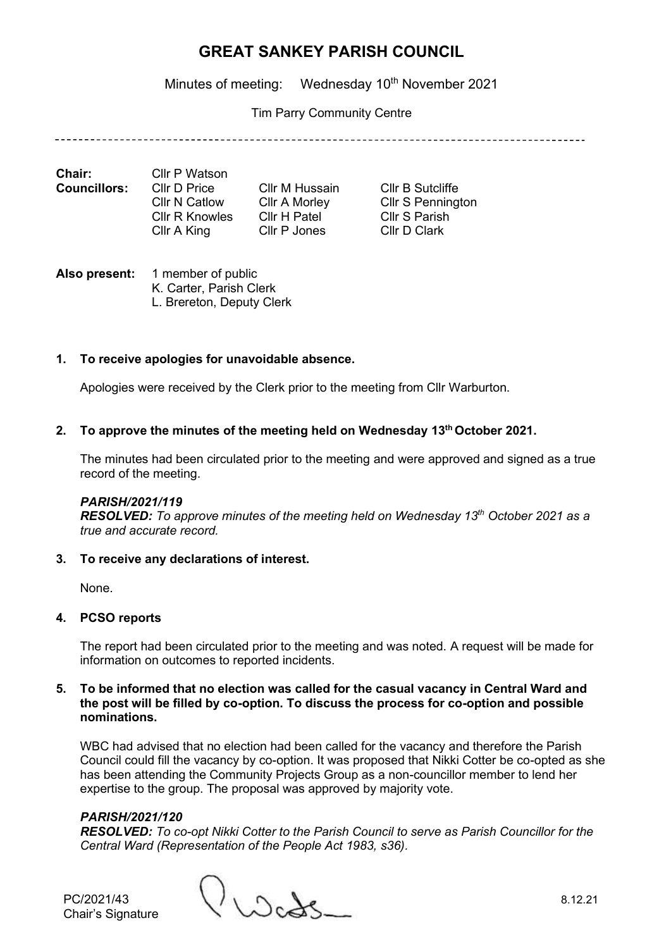Minutes of meeting: Wednesday 10<sup>th</sup> November 2021

Tim Parry Community Centre

| Chair:              | Cllr P Watson         |                      |                          |
|---------------------|-----------------------|----------------------|--------------------------|
| <b>Councillors:</b> | Cllr D Price          | Cllr M Hussain       | Cllr B Sutcliffe         |
|                     | Cllr N Catlow         | <b>Cllr A Morley</b> | <b>Cllr S Pennington</b> |
|                     | <b>CIIr R Knowles</b> | Cllr H Patel         | Cllr S Parish            |
|                     | Cllr A King           | Cllr P Jones         | Cllr D Clark             |

**Also present:** 1 member of public K. Carter, Parish Clerk L. Brereton, Deputy Clerk

# **1. To receive apologies for unavoidable absence.**

Apologies were received by the Clerk prior to the meeting from Cllr Warburton.

## **2. To approve the minutes of the meeting held on Wednesday 13th October 2021.**

The minutes had been circulated prior to the meeting and were approved and signed as a true record of the meeting.

#### *PARISH/2021/119*

*RESOLVED: To approve minutes of the meeting held on Wednesday 13th October 2021 as a true and accurate record.*

**3. To receive any declarations of interest.**

None.

## **4. PCSO reports**

The report had been circulated prior to the meeting and was noted. A request will be made for information on outcomes to reported incidents.

### **5. To be informed that no election was called for the casual vacancy in Central Ward and the post will be filled by co-option. To discuss the process for co-option and possible nominations.**

WBC had advised that no election had been called for the vacancy and therefore the Parish Council could fill the vacancy by co-option. It was proposed that Nikki Cotter be co-opted as she has been attending the Community Projects Group as a non-councillor member to lend her expertise to the group. The proposal was approved by majority vote.

## *PARISH/2021/120*

*RESOLVED: To co-opt Nikki Cotter to the Parish Council to serve as Parish Councillor for the Central Ward (Representation of the People Act 1983, s36).*

PC/2021/43 8.12.21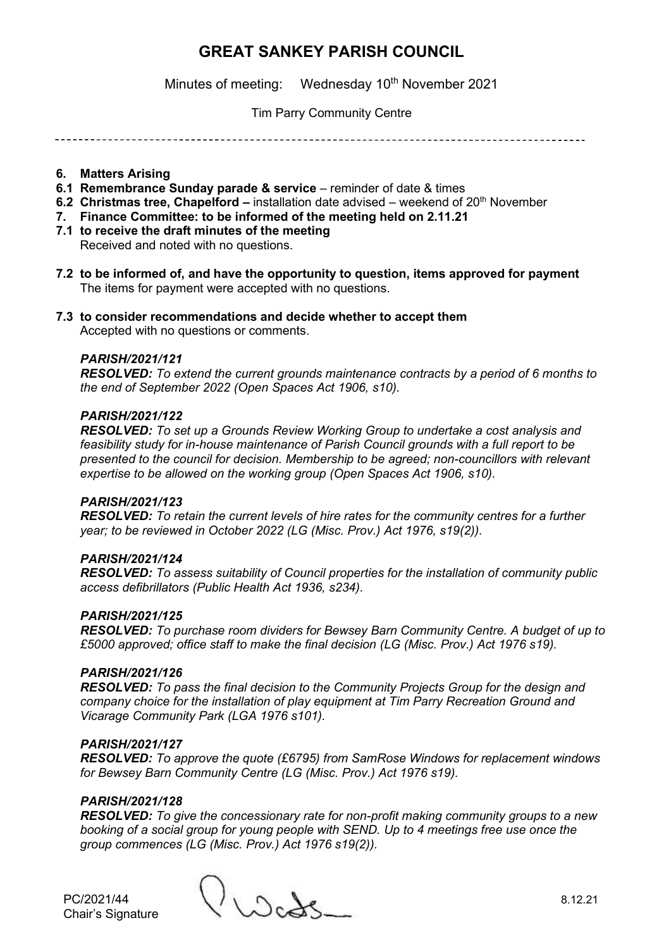Minutes of meeting: Wednesday 10<sup>th</sup> November 2021

# Tim Parry Community Centre

### **6. Matters Arising**

- **6.1 Remembrance Sunday parade & service** reminder of date & times
- **6.2 Christmas tree, Chapelford –** installation date advised weekend of 20<sup>th</sup> November
- **7. Finance Committee: to be informed of the meeting held on 2.11.21**
- **7.1 to receive the draft minutes of the meeting**

Received and noted with no questions.

- **7.2 to be informed of, and have the opportunity to question, items approved for payment**  The items for payment were accepted with no questions.
- **7.3 to consider recommendations and decide whether to accept them**

Accepted with no questions or comments.

### *PARISH/2021/121*

*RESOLVED: To extend the current grounds maintenance contracts by a period of 6 months to the end of September 2022 (Open Spaces Act 1906, s10).*

## *PARISH/2021/122*

*RESOLVED: To set up a Grounds Review Working Group to undertake a cost analysis and feasibility study for in-house maintenance of Parish Council grounds with a full report to be presented to the council for decision. Membership to be agreed; non-councillors with relevant expertise to be allowed on the working group (Open Spaces Act 1906, s10).*

## *PARISH/2021/123*

*RESOLVED: To retain the current levels of hire rates for the community centres for a further year; to be reviewed in October 2022 (LG (Misc. Prov.) Act 1976, s19(2)).*

## *PARISH/2021/124*

*RESOLVED: To assess suitability of Council properties for the installation of community public access defibrillators (Public Health Act 1936, s234).*

## *PARISH/2021/125*

*RESOLVED: To purchase room dividers for Bewsey Barn Community Centre. A budget of up to £5000 approved; office staff to make the final decision (LG (Misc. Prov.) Act 1976 s19).*

#### *PARISH/2021/126*

*RESOLVED: To pass the final decision to the Community Projects Group for the design and company choice for the installation of play equipment at Tim Parry Recreation Ground and Vicarage Community Park (LGA 1976 s101).*

### *PARISH/2021/127*

*RESOLVED: To approve the quote (£6795) from SamRose Windows for replacement windows for Bewsey Barn Community Centre (LG (Misc. Prov.) Act 1976 s19).*

#### *PARISH/2021/128*

*RESOLVED: To give the concessionary rate for non-profit making community groups to a new booking of a social group for young people with SEND. Up to 4 meetings free use once the group commences (LG (Misc. Prov.) Act 1976 s19(2)).*

PC/2021/44 8.12.21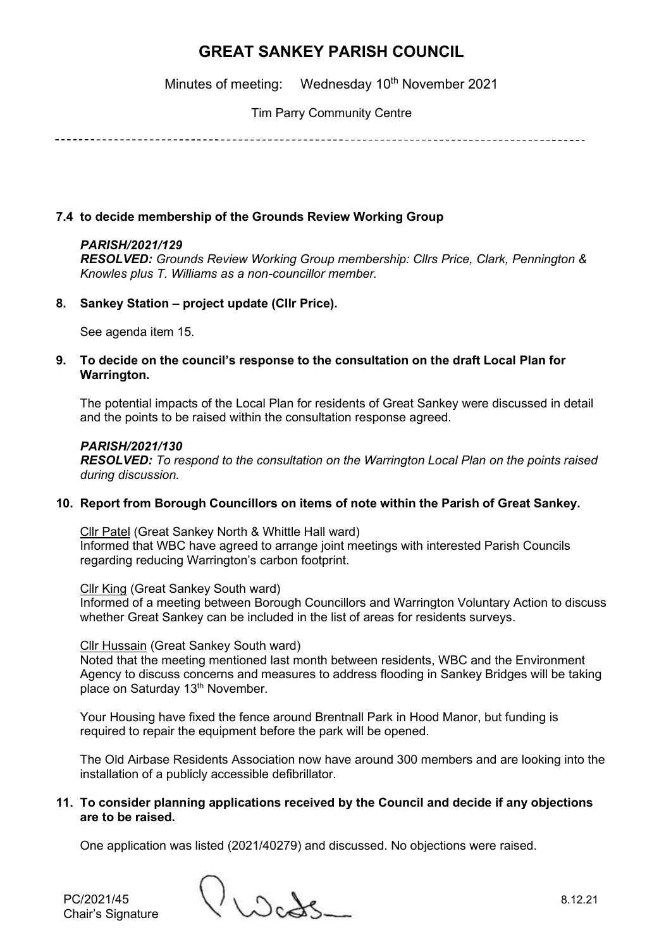Minutes of meeting: Wednesday 10<sup>th</sup> November 2021

Tim Parry Community Centre

# **7.4 to decide membership of the Grounds Review Working Group**

# *PARISH/2021/129*

*RESOLVED: Grounds Review Working Group membership: Cllrs Price, Clark, Pennington & Knowles plus T. Williams as a non-councillor member.*

## **8. Sankey Station – project update (Cllr Price).**

See agenda item 15.

## **9. To decide on the council's response to the consultation on the draft Local Plan for Warrington.**

The potential impacts of the Local Plan for residents of Great Sankey were discussed in detail and the points to be raised within the consultation response agreed.

## *PARISH/2021/130*

*RESOLVED: To respond to the consultation on the Warrington Local Plan on the points raised during discussion.*

## **10. Report from Borough Councillors on items of note within the Parish of Great Sankey.**

Cllr Patel (Great Sankey North & Whittle Hall ward) Informed that WBC have agreed to arrange joint meetings with interested Parish Councils regarding reducing Warrington's carbon footprint.

Cllr King (Great Sankey South ward)

Informed of a meeting between Borough Councillors and Warrington Voluntary Action to discuss whether Great Sankey can be included in the list of areas for residents surveys.

#### Cllr Hussain (Great Sankey South ward)

Noted that the meeting mentioned last month between residents, WBC and the Environment Agency to discuss concerns and measures to address flooding in Sankey Bridges will be taking place on Saturday 13<sup>th</sup> November.

Your Housing have fixed the fence around Brentnall Park in Hood Manor, but funding is required to repair the equipment before the park will be opened.

The Old Airbase Residents Association now have around 300 members and are looking into the installation of a publicly accessible defibrillator.

### **11. To consider planning applications received by the Council and decide if any objections are to be raised.**

One application was listed (2021/40279) and discussed. No objections were raised.

Chair's Signature

PC/2021/45 8.12.21